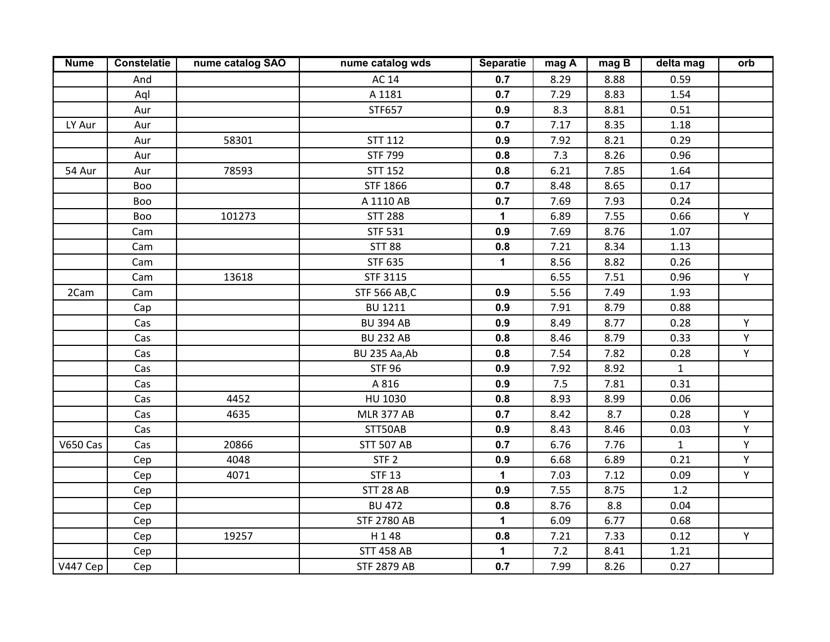| <b>Nume</b> | <b>Constelatie</b> | nume catalog SAO | nume catalog wds    | <b>Separatie</b> | mag A | magB | delta mag    | orb |
|-------------|--------------------|------------------|---------------------|------------------|-------|------|--------------|-----|
|             | And                |                  | <b>AC 14</b>        | 0.7              | 8.29  | 8.88 | 0.59         |     |
|             | Aql                |                  | A 1181              | 0.7              | 7.29  | 8.83 | 1.54         |     |
|             | Aur                |                  | STF657              | 0.9              | 8.3   | 8.81 | 0.51         |     |
| LY Aur      | Aur                |                  |                     | 0.7              | 7.17  | 8.35 | 1.18         |     |
|             | Aur                | 58301            | <b>STT 112</b>      | 0.9              | 7.92  | 8.21 | 0.29         |     |
|             | Aur                |                  | <b>STF 799</b>      | 0.8              | 7.3   | 8.26 | 0.96         |     |
| 54 Aur      | Aur                | 78593            | <b>STT 152</b>      | 0.8              | 6.21  | 7.85 | 1.64         |     |
|             | Boo                |                  | <b>STF 1866</b>     | 0.7              | 8.48  | 8.65 | 0.17         |     |
|             | Boo                |                  | A 1110 AB           | 0.7              | 7.69  | 7.93 | 0.24         |     |
|             | Boo                | 101273           | <b>STT 288</b>      | 1                | 6.89  | 7.55 | 0.66         | Y   |
|             | Cam                |                  | <b>STF 531</b>      | 0.9              | 7.69  | 8.76 | 1.07         |     |
|             | Cam                |                  | <b>STT 88</b>       | 0.8              | 7.21  | 8.34 | 1.13         |     |
|             | Cam                |                  | <b>STF 635</b>      | $\mathbf{1}$     | 8.56  | 8.82 | 0.26         |     |
|             | Cam                | 13618            | STF 3115            |                  | 6.55  | 7.51 | 0.96         | Y   |
| 2Cam        | Cam                |                  | <b>STF 566 AB,C</b> | 0.9              | 5.56  | 7.49 | 1.93         |     |
|             | Cap                |                  | <b>BU 1211</b>      | 0.9              | 7.91  | 8.79 | 0.88         |     |
|             | Cas                |                  | <b>BU 394 AB</b>    | 0.9              | 8.49  | 8.77 | 0.28         | Y   |
|             | Cas                |                  | <b>BU 232 AB</b>    | 0.8              | 8.46  | 8.79 | 0.33         | Y   |
|             | Cas                |                  | BU 235 Aa, Ab       | 0.8              | 7.54  | 7.82 | 0.28         | Y   |
|             | Cas                |                  | <b>STF 96</b>       | 0.9              | 7.92  | 8.92 | $\mathbf{1}$ |     |
|             | Cas                |                  | A 816               | 0.9              | 7.5   | 7.81 | 0.31         |     |
|             | Cas                | 4452             | HU 1030             | 0.8              | 8.93  | 8.99 | 0.06         |     |
|             | Cas                | 4635             | <b>MLR 377 AB</b>   | 0.7              | 8.42  | 8.7  | 0.28         | Y   |
|             | Cas                |                  | STT50AB             | 0.9              | 8.43  | 8.46 | 0.03         | Y   |
| V650 Cas    | Cas                | 20866            | <b>STT 507 AB</b>   | 0.7              | 6.76  | 7.76 | $\mathbf{1}$ | Y   |
|             | Cep                | 4048             | STF <sub>2</sub>    | 0.9              | 6.68  | 6.89 | 0.21         | Y   |
|             | Cep                | 4071             | <b>STF 13</b>       | $\mathbf 1$      | 7.03  | 7.12 | 0.09         | Y.  |
|             | Cep                |                  | STT 28 AB           | 0.9              | 7.55  | 8.75 | 1.2          |     |
|             | Cep                |                  | <b>BU 472</b>       | 0.8              | 8.76  | 8.8  | 0.04         |     |
|             | Cep                |                  | <b>STF 2780 AB</b>  | $\mathbf{1}$     | 6.09  | 6.77 | 0.68         |     |
|             | Cep                | 19257            | H148                | 0.8              | 7.21  | 7.33 | 0.12         | Y.  |
|             | Cep                |                  | <b>STT 458 AB</b>   | $\mathbf 1$      | 7.2   | 8.41 | 1.21         |     |
| V447 Cep    | Cep                |                  | <b>STF 2879 AB</b>  | 0.7              | 7.99  | 8.26 | 0.27         |     |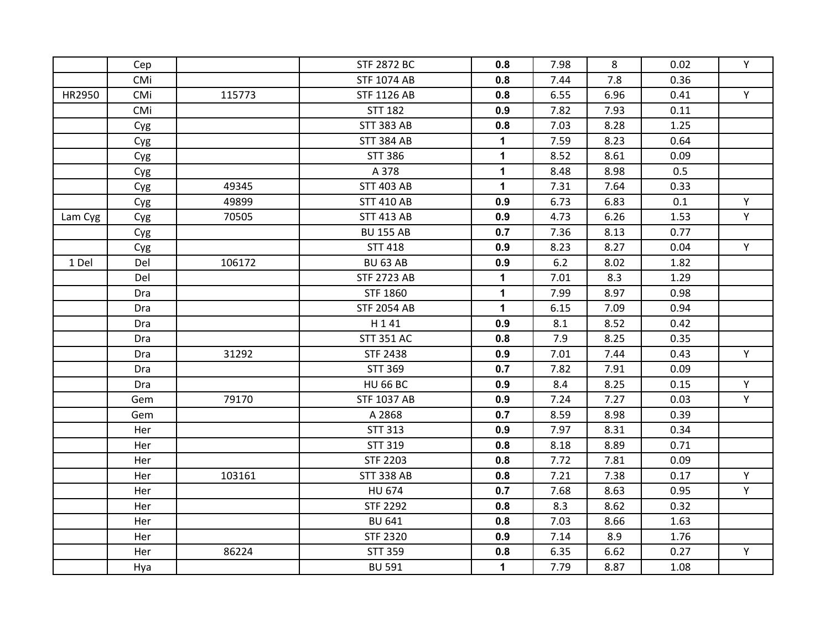|         | Cep        |        | <b>STF 2872 BC</b> | 0.8          | 7.98 | 8    | 0.02 | Y  |
|---------|------------|--------|--------------------|--------------|------|------|------|----|
|         | CMi        |        | <b>STF 1074 AB</b> | 0.8          | 7.44 | 7.8  | 0.36 |    |
| HR2950  | CMi        | 115773 | <b>STF 1126 AB</b> | 0.8          | 6.55 | 6.96 | 0.41 | Y. |
|         | CMi        |        | <b>STT 182</b>     | 0.9          | 7.82 | 7.93 | 0.11 |    |
|         | Cyg        |        | <b>STT 383 AB</b>  | 0.8          | 7.03 | 8.28 | 1.25 |    |
|         | Cyg        |        | <b>STT 384 AB</b>  | $\mathbf 1$  | 7.59 | 8.23 | 0.64 |    |
|         | Cyg        |        | <b>STT 386</b>     | $\mathbf 1$  | 8.52 | 8.61 | 0.09 |    |
|         | Cyg        |        | A 378              | $\mathbf{1}$ | 8.48 | 8.98 | 0.5  |    |
|         | Cyg        | 49345  | <b>STT 403 AB</b>  | $\mathbf{1}$ | 7.31 | 7.64 | 0.33 |    |
|         | Cyg        | 49899  | <b>STT 410 AB</b>  | 0.9          | 6.73 | 6.83 | 0.1  | Y  |
| Lam Cyg | Cyg        | 70505  | <b>STT 413 AB</b>  | 0.9          | 4.73 | 6.26 | 1.53 | Y. |
|         | Cyg        |        | <b>BU 155 AB</b>   | 0.7          | 7.36 | 8.13 | 0.77 |    |
|         | Cyg        |        | <b>STT 418</b>     | 0.9          | 8.23 | 8.27 | 0.04 | Y. |
| 1 Del   | Del        | 106172 | <b>BU 63 AB</b>    | 0.9          | 6.2  | 8.02 | 1.82 |    |
|         | Del        |        | <b>STF 2723 AB</b> | $\mathbf 1$  | 7.01 | 8.3  | 1.29 |    |
|         | Dra        |        | <b>STF 1860</b>    | 1            | 7.99 | 8.97 | 0.98 |    |
|         | Dra        |        | <b>STF 2054 AB</b> | 1            | 6.15 | 7.09 | 0.94 |    |
|         | Dra        |        | H141               | 0.9          | 8.1  | 8.52 | 0.42 |    |
|         | <b>Dra</b> |        | <b>STT 351 AC</b>  | 0.8          | 7.9  | 8.25 | 0.35 |    |
|         | Dra        | 31292  | <b>STF 2438</b>    | 0.9          | 7.01 | 7.44 | 0.43 | Y  |
|         | Dra        |        | STT 369            | 0.7          | 7.82 | 7.91 | 0.09 |    |
|         | Dra        |        | <b>HU 66 BC</b>    | 0.9          | 8.4  | 8.25 | 0.15 | Y  |
|         | Gem        | 79170  | <b>STF 1037 AB</b> | 0.9          | 7.24 | 7.27 | 0.03 | Y  |
|         | Gem        |        | A 2868             | 0.7          | 8.59 | 8.98 | 0.39 |    |
|         | Her        |        | <b>STT 313</b>     | 0.9          | 7.97 | 8.31 | 0.34 |    |
|         | Her        |        | <b>STT 319</b>     | 0.8          | 8.18 | 8.89 | 0.71 |    |
|         | Her        |        | <b>STF 2203</b>    | 0.8          | 7.72 | 7.81 | 0.09 |    |
|         | Her        | 103161 | <b>STT 338 AB</b>  | 0.8          | 7.21 | 7.38 | 0.17 | Y  |
|         | Her        |        | <b>HU 674</b>      | 0.7          | 7.68 | 8.63 | 0.95 | Y. |
|         | Her        |        | <b>STF 2292</b>    | 0.8          | 8.3  | 8.62 | 0.32 |    |
|         | Her        |        | <b>BU 641</b>      | 0.8          | 7.03 | 8.66 | 1.63 |    |
|         | Her        |        | <b>STF 2320</b>    | 0.9          | 7.14 | 8.9  | 1.76 |    |
|         | Her        | 86224  | <b>STT 359</b>     | 0.8          | 6.35 | 6.62 | 0.27 | Y  |
|         | Hya        |        | <b>BU 591</b>      | $\mathbf{1}$ | 7.79 | 8.87 | 1.08 |    |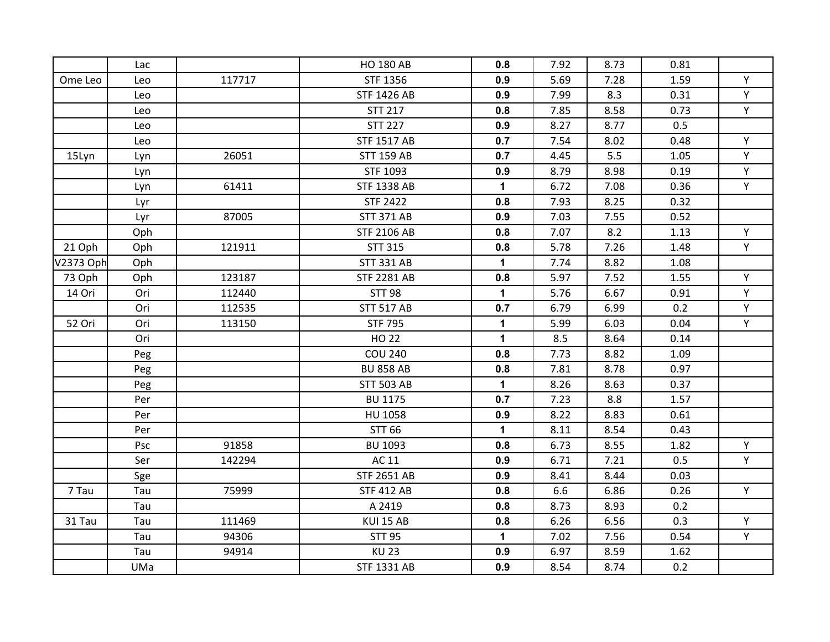|           | Lac |        | <b>HO 180 AB</b>   | 0.8          | 7.92 | 8.73 | 0.81 |    |
|-----------|-----|--------|--------------------|--------------|------|------|------|----|
| Ome Leo   | Leo | 117717 | STF 1356           | 0.9          | 5.69 | 7.28 | 1.59 | Y  |
|           | Leo |        | <b>STF 1426 AB</b> | 0.9          | 7.99 | 8.3  | 0.31 | Y  |
|           | Leo |        | <b>STT 217</b>     | 0.8          | 7.85 | 8.58 | 0.73 | Y. |
|           | Leo |        | <b>STT 227</b>     | 0.9          | 8.27 | 8.77 | 0.5  |    |
|           | Leo |        | <b>STF 1517 AB</b> | 0.7          | 7.54 | 8.02 | 0.48 | Y  |
| 15Lyn     | Lyn | 26051  | <b>STT 159 AB</b>  | 0.7          | 4.45 | 5.5  | 1.05 | Y  |
|           | Lyn |        | STF 1093           | 0.9          | 8.79 | 8.98 | 0.19 | Y  |
|           | Lyn | 61411  | <b>STF 1338 AB</b> | $\mathbf 1$  | 6.72 | 7.08 | 0.36 | Y. |
|           | Lyr |        | <b>STF 2422</b>    | 0.8          | 7.93 | 8.25 | 0.32 |    |
|           | Lyr | 87005  | <b>STT 371 AB</b>  | 0.9          | 7.03 | 7.55 | 0.52 |    |
|           | Oph |        | <b>STF 2106 AB</b> | 0.8          | 7.07 | 8.2  | 1.13 | Y  |
| 21 Oph    | Oph | 121911 | <b>STT 315</b>     | 0.8          | 5.78 | 7.26 | 1.48 | Y. |
| V2373 Oph | Oph |        | <b>STT 331 AB</b>  | $\mathbf 1$  | 7.74 | 8.82 | 1.08 |    |
| 73 Oph    | Oph | 123187 | <b>STF 2281 AB</b> | 0.8          | 5.97 | 7.52 | 1.55 | Y  |
| 14 Ori    | Ori | 112440 | <b>STT 98</b>      | $\mathbf 1$  | 5.76 | 6.67 | 0.91 | Y  |
|           | Ori | 112535 | <b>STT 517 AB</b>  | 0.7          | 6.79 | 6.99 | 0.2  | Y  |
| 52 Ori    | Ori | 113150 | <b>STF 795</b>     | $\mathbf 1$  | 5.99 | 6.03 | 0.04 | Y  |
|           | Ori |        | <b>HO 22</b>       | $\mathbf{1}$ | 8.5  | 8.64 | 0.14 |    |
|           | Peg |        | <b>COU 240</b>     | 0.8          | 7.73 | 8.82 | 1.09 |    |
|           | Peg |        | <b>BU 858 AB</b>   | 0.8          | 7.81 | 8.78 | 0.97 |    |
|           | Peg |        | <b>STT 503 AB</b>  | $\mathbf 1$  | 8.26 | 8.63 | 0.37 |    |
|           | Per |        | <b>BU 1175</b>     | 0.7          | 7.23 | 8.8  | 1.57 |    |
|           | Per |        | HU 1058            | 0.9          | 8.22 | 8.83 | 0.61 |    |
|           | Per |        | <b>STT 66</b>      | $\mathbf{1}$ | 8.11 | 8.54 | 0.43 |    |
|           | Psc | 91858  | BU 1093            | 0.8          | 6.73 | 8.55 | 1.82 | Y  |
|           | Ser | 142294 | AC 11              | 0.9          | 6.71 | 7.21 | 0.5  | Y  |
|           | Sge |        | <b>STF 2651 AB</b> | 0.9          | 8.41 | 8.44 | 0.03 |    |
| 7 Tau     | Tau | 75999  | <b>STF 412 AB</b>  | 0.8          | 6.6  | 6.86 | 0.26 | Y. |
|           | Tau |        | A 2419             | 0.8          | 8.73 | 8.93 | 0.2  |    |
| 31 Tau    | Tau | 111469 | KUI 15 AB          | 0.8          | 6.26 | 6.56 | 0.3  | Y  |
|           | Tau | 94306  | <b>STT 95</b>      | $\mathbf 1$  | 7.02 | 7.56 | 0.54 | Y. |
|           | Tau | 94914  | <b>KU 23</b>       | 0.9          | 6.97 | 8.59 | 1.62 |    |
|           | UMa |        | <b>STF 1331 AB</b> | 0.9          | 8.54 | 8.74 | 0.2  |    |